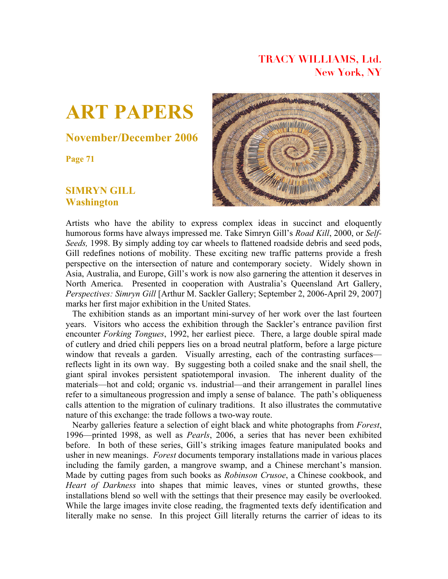## **TRACY WILLIAMS, Ltd. New York, NY**



## **November/December 2006**

**Page 71**

## **SIMRYN GILL Washington**



Artists who have the ability to express complex ideas in succinct and eloquently humorous forms have always impressed me. Take Simryn Gill's *Road Kill*, 2000, or *Self-Seeds,* 1998. By simply adding toy car wheels to flattened roadside debris and seed pods, Gill redefines notions of mobility. These exciting new traffic patterns provide a fresh perspective on the intersection of nature and contemporary society. Widely shown in Asia, Australia, and Europe, Gill's work is now also garnering the attention it deserves in North America. Presented in cooperation with Australia's Queensland Art Gallery, *Perspectives: Simryn Gill* [Arthur M. Sackler Gallery; September 2, 2006-April 29, 2007] marks her first major exhibition in the United States.

 The exhibition stands as an important mini-survey of her work over the last fourteen years. Visitors who access the exhibition through the Sackler's entrance pavilion first encounter *Forking Tongues*, 1992, her earliest piece. There, a large double spiral made of cutlery and dried chili peppers lies on a broad neutral platform, before a large picture window that reveals a garden. Visually arresting, each of the contrasting surfaces reflects light in its own way. By suggesting both a coiled snake and the snail shell, the giant spiral invokes persistent spatiotemporal invasion. The inherent duality of the materials—hot and cold; organic vs. industrial—and their arrangement in parallel lines refer to a simultaneous progression and imply a sense of balance. The path's obliqueness calls attention to the migration of culinary traditions. It also illustrates the commutative nature of this exchange: the trade follows a two-way route.

 Nearby galleries feature a selection of eight black and white photographs from *Forest*, 1996—printed 1998, as well as *Pearls*, 2006, a series that has never been exhibited before. In both of these series, Gill's striking images feature manipulated books and usher in new meanings. *Forest* documents temporary installations made in various places including the family garden, a mangrove swamp, and a Chinese merchant's mansion. Made by cutting pages from such books as *Robinson Crusoe*, a Chinese cookbook, and *Heart of Darkness* into shapes that mimic leaves, vines or stunted growths, these installations blend so well with the settings that their presence may easily be overlooked. While the large images invite close reading, the fragmented texts defy identification and literally make no sense. In this project Gill literally returns the carrier of ideas to its